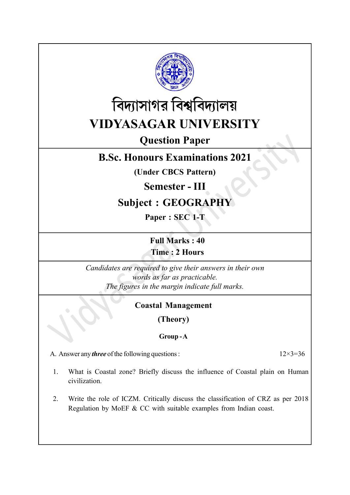



# Question Paper

## B.Sc. Honours Examinations 2021

(Under CBCS Pattern)

#### Semester - III

## Subject : GEOGRAPHY

Paper : SEC 1-T

Full Marks : 40 Time : 2 Hours

Candidates are required to give their answers in their own words as far as practicable. The figures in the margin indicate full marks.

#### Coastal Management

(Theory)

#### Group - A

A. Answer any *three* of the following questions :  $12 \times 3 = 36$ 

- 1. What is Coastal zone? Briefly discuss the influence of Coastal plain on Human civilization.
- 2. Write the role of ICZM. Critically discuss the classification of CRZ as per 2018 Regulation by MoEF & CC with suitable examples from Indian coast.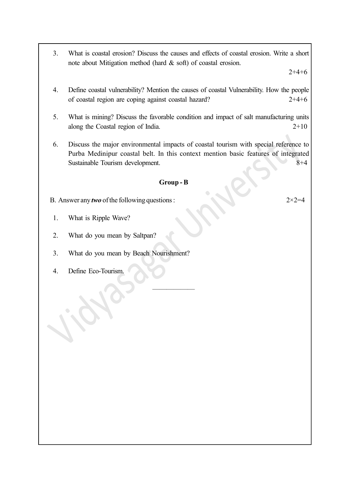3. What is coastal erosion? Discuss the causes and effects of coastal erosion. Write a short note about Mitigation method (hard & soft) of coastal erosion.

 $2+4+6$ 

- 4. Define coastal vulnerability? Mention the causes of coastal Vulnerability. How the people of coastal region are coping against coastal hazard? 2+4+6
- 5. What is mining? Discuss the favorable condition and impact of salt manufacturing units along the Coastal region of India. 2+10
- 6. Discuss the major environmental impacts of coastal tourism with special reference to Purba Medinipur coastal belt. In this context mention basic features of integrated Sustainable Tourism development. 8+4

#### Group - B

——————

- B. Answer any *two* of the following questions :  $2 \times 2 = 4$
- 1. What is Ripple Wave?
- 2. What do you mean by Saltpan?
- 3. What do you mean by Beach Nourishment?
- 4. Define Eco-Tourism.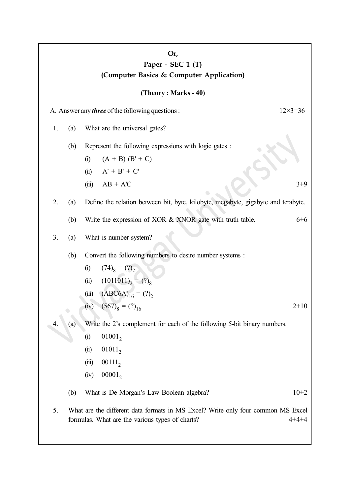| Or,<br>Paper - SEC 1 (T)<br>(Computer Basics & Computer Application)          |                   |                                                                                   |                                                                          |         |  |  |  |
|-------------------------------------------------------------------------------|-------------------|-----------------------------------------------------------------------------------|--------------------------------------------------------------------------|---------|--|--|--|
| (Theory: Marks - 40)                                                          |                   |                                                                                   |                                                                          |         |  |  |  |
| A. Answer any <i>three</i> of the following questions :<br>$12 \times 3 = 36$ |                   |                                                                                   |                                                                          |         |  |  |  |
| 1.                                                                            | (a)               | What are the universal gates?                                                     |                                                                          |         |  |  |  |
|                                                                               | (b)               | Represent the following expressions with logic gates :                            |                                                                          |         |  |  |  |
|                                                                               |                   | (i)                                                                               | $(A + B) (B' + C)$                                                       |         |  |  |  |
|                                                                               |                   |                                                                                   | (ii) $A' + B' + C'$                                                      |         |  |  |  |
|                                                                               |                   | (iii)                                                                             | $AB + AC$                                                                | $3+9$   |  |  |  |
| 2.                                                                            | (a)               | Define the relation between bit, byte, kilobyte, megabyte, gigabyte and terabyte. |                                                                          |         |  |  |  |
|                                                                               | (b)               |                                                                                   | Write the expression of XOR & XNOR gate with truth table.                | $6 + 6$ |  |  |  |
| 3.                                                                            | (a)               |                                                                                   | What is number system?                                                   |         |  |  |  |
|                                                                               | (b)               |                                                                                   | Convert the following numbers to desire number systems :                 |         |  |  |  |
|                                                                               |                   | (i)                                                                               | $(74)_{8} = (?)_{2}^{-}$                                                 |         |  |  |  |
|                                                                               |                   | (ii)                                                                              | $(1011011)_{2} = (?)_{8}$                                                |         |  |  |  |
|                                                                               |                   |                                                                                   | (iii) $(ABC6A)_{16} = (?)_2$                                             |         |  |  |  |
|                                                                               |                   |                                                                                   | (iv) $(567)_8 = (?)_{16}$                                                | $2+10$  |  |  |  |
| 4.                                                                            | $\left( a\right)$ |                                                                                   | Write the 2's complement for each of the following 5-bit binary numbers. |         |  |  |  |
|                                                                               |                   | (i)                                                                               | 01001,                                                                   |         |  |  |  |
|                                                                               |                   | (ii)                                                                              | $01011_2$                                                                |         |  |  |  |
|                                                                               |                   | (iii)                                                                             | $00111_2$                                                                |         |  |  |  |
|                                                                               |                   | (iv)                                                                              | $00001_2$                                                                |         |  |  |  |
|                                                                               | (b)               |                                                                                   | What is De Morgan's Law Boolean algebra?                                 | $10+2$  |  |  |  |
| 5.                                                                            |                   | What are the different data formats in MS Excel? Write only four common MS Excel  |                                                                          |         |  |  |  |

formulas. What are the various types of charts? 4+4+4